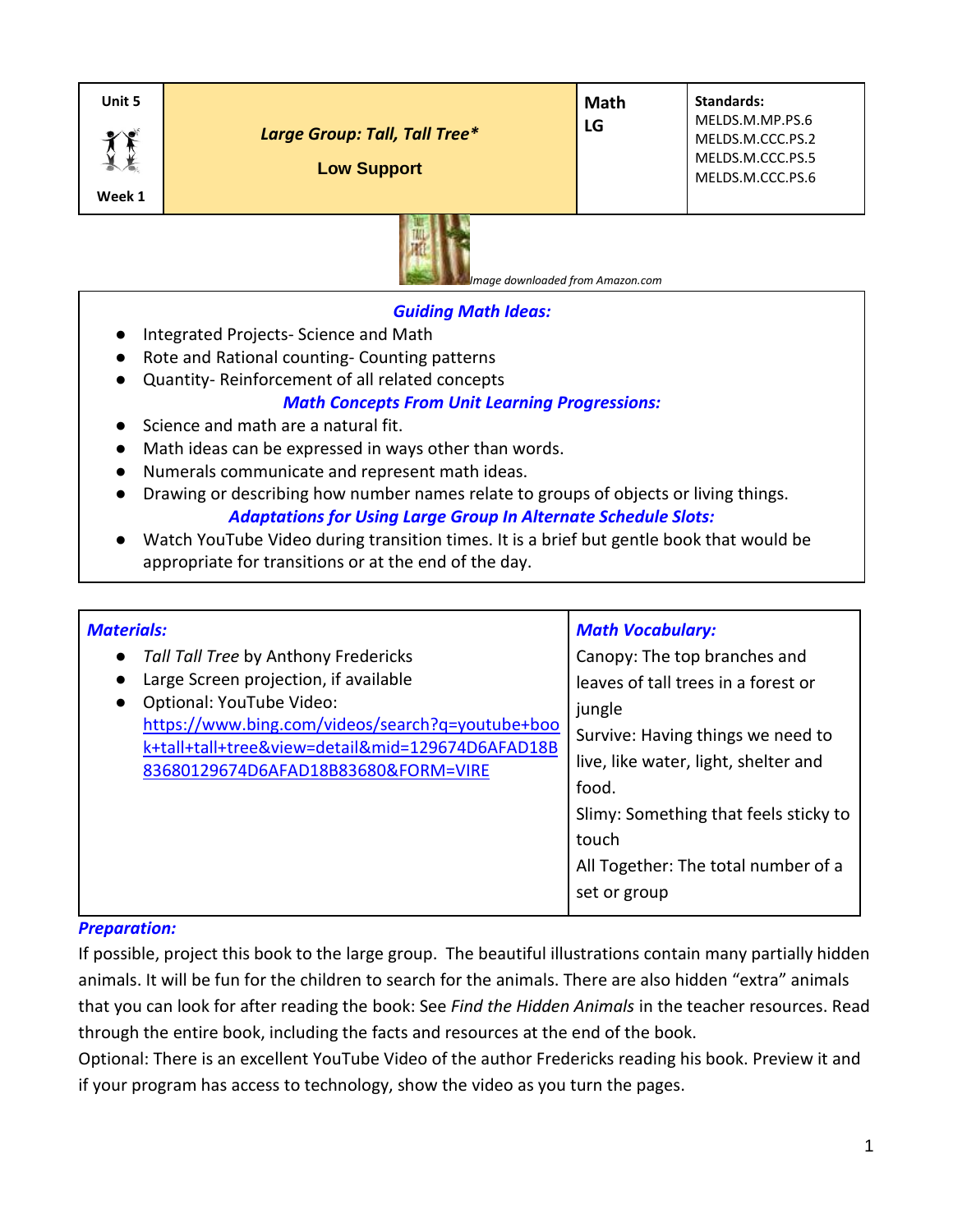| Unit 5 | Large Group: Tall, Tall Tree*<br><b>Low Support</b> | Math<br>LG | Standards:<br>MELDS.M.MP.PS.6<br>MELDS.M.CCC.PS.2<br>MELDS.M.CCC.PS.5<br>MELDS.M.CCC.PS.6 |
|--------|-----------------------------------------------------|------------|-------------------------------------------------------------------------------------------|
| Week 1 |                                                     |            |                                                                                           |



 *Image downloaded from Amazon.com*

# *Guiding Math Ideas:*

- Integrated Projects- Science and Math
- Rote and Rational counting- Counting patterns
- Quantity- Reinforcement of all related concepts

# *Math Concepts From Unit Learning Progressions:*

- Science and math are a natural fit.
- Math ideas can be expressed in ways other than words.
- Numerals communicate and represent math ideas.
- Drawing or describing how number names relate to groups of objects or living things. *Adaptations for Using Large Group In Alternate Schedule Slots:*
- Watch YouTube Video during transition times. It is a brief but gentle book that would be appropriate for transitions or at the end of the day.

| <b>Materials:</b>                                                                                                                                                                                                                                                               | <b>Math Vocabulary:</b>                                                                                                                                                                                                                                                      |  |
|---------------------------------------------------------------------------------------------------------------------------------------------------------------------------------------------------------------------------------------------------------------------------------|------------------------------------------------------------------------------------------------------------------------------------------------------------------------------------------------------------------------------------------------------------------------------|--|
| Tall Tall Tree by Anthony Fredericks<br>$\bullet$<br>Large Screen projection, if available<br>Optional: YouTube Video:<br>$\bullet$<br>https://www.bing.com/videos/search?q=youtube+boo<br>k+tall+tall+tree&view=detail∣=129674D6AFAD18B<br>83680129674D6AFAD18B83680&FORM=VIRE | Canopy: The top branches and<br>leaves of tall trees in a forest or<br>jungle<br>Survive: Having things we need to<br>live, like water, light, shelter and<br>food.<br>Slimy: Something that feels sticky to<br>touch<br>All Together: The total number of a<br>set or group |  |
|                                                                                                                                                                                                                                                                                 |                                                                                                                                                                                                                                                                              |  |

## *Preparation:*

If possible, project this book to the large group. The beautiful illustrations contain many partially hidden animals. It will be fun for the children to search for the animals. There are also hidden "extra" animals that you can look for after reading the book: See *Find the Hidden Animals* in the teacher resources. Read through the entire book, including the facts and resources at the end of the book.

Optional: There is an excellent YouTube Video of the author Fredericks reading his book. Preview it and if your program has access to technology, show the video as you turn the pages.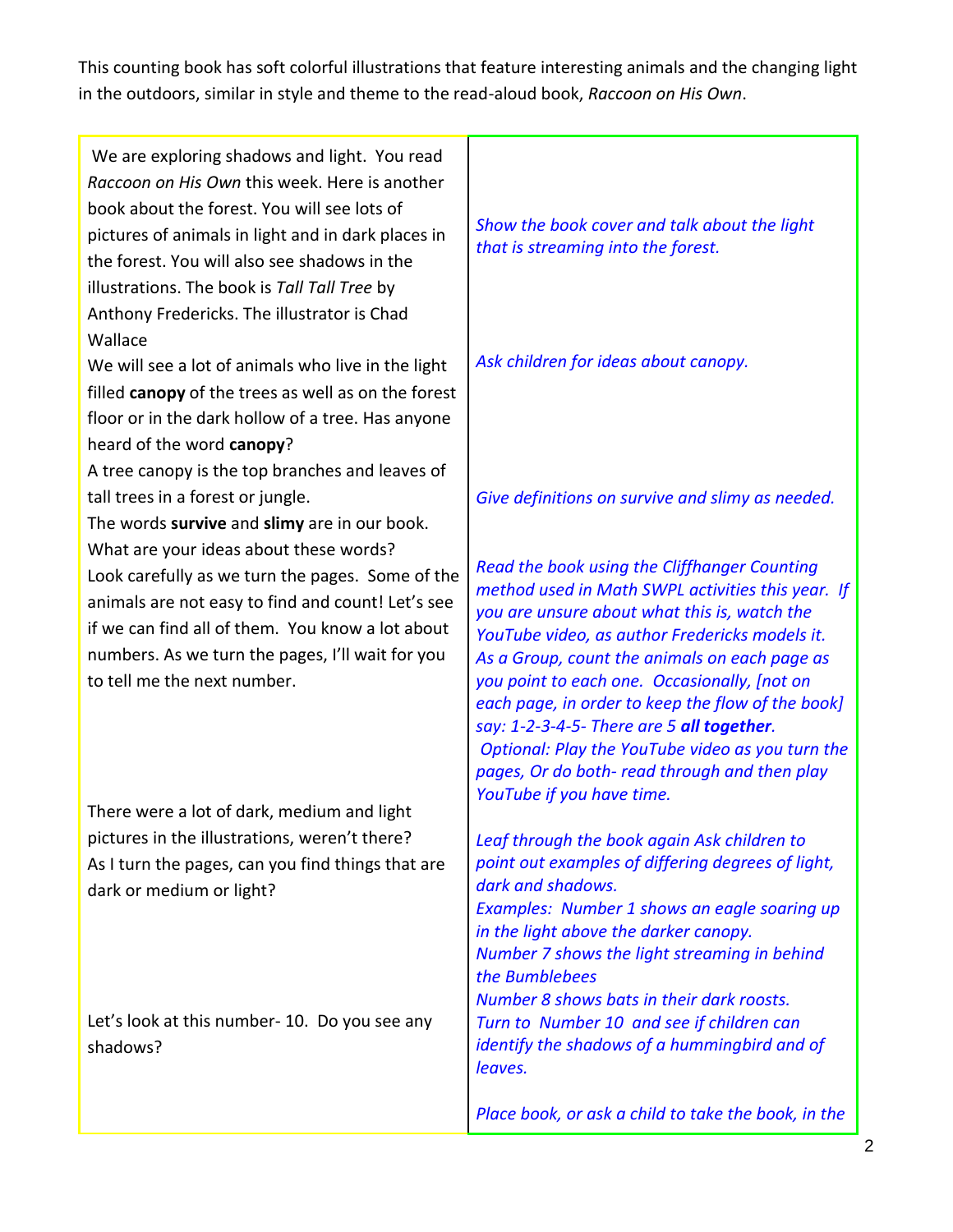This counting book has soft colorful illustrations that feature interesting animals and the changing light in the outdoors, similar in style and theme to the read-aloud book, *Raccoon on His Own*.

| We are exploring shadows and light. You read<br>Raccoon on His Own this week. Here is another<br>book about the forest. You will see lots of<br>pictures of animals in light and in dark places in<br>the forest. You will also see shadows in the<br>illustrations. The book is Tall Tall Tree by<br>Anthony Fredericks. The illustrator is Chad | Show the book cover and talk about the light<br>that is streaming into the forest.                                                                                                                                                                                                                                                                                                                                                                                                                                                       |
|---------------------------------------------------------------------------------------------------------------------------------------------------------------------------------------------------------------------------------------------------------------------------------------------------------------------------------------------------|------------------------------------------------------------------------------------------------------------------------------------------------------------------------------------------------------------------------------------------------------------------------------------------------------------------------------------------------------------------------------------------------------------------------------------------------------------------------------------------------------------------------------------------|
| Wallace<br>We will see a lot of animals who live in the light<br>filled canopy of the trees as well as on the forest<br>floor or in the dark hollow of a tree. Has anyone<br>heard of the word canopy?                                                                                                                                            | Ask children for ideas about canopy.                                                                                                                                                                                                                                                                                                                                                                                                                                                                                                     |
| A tree canopy is the top branches and leaves of                                                                                                                                                                                                                                                                                                   |                                                                                                                                                                                                                                                                                                                                                                                                                                                                                                                                          |
| tall trees in a forest or jungle.                                                                                                                                                                                                                                                                                                                 | Give definitions on survive and slimy as needed.                                                                                                                                                                                                                                                                                                                                                                                                                                                                                         |
| The words survive and slimy are in our book.<br>What are your ideas about these words?<br>Look carefully as we turn the pages. Some of the<br>animals are not easy to find and count! Let's see<br>if we can find all of them. You know a lot about<br>numbers. As we turn the pages, I'll wait for you<br>to tell me the next number.            | Read the book using the Cliffhanger Counting<br>method used in Math SWPL activities this year. If<br>you are unsure about what this is, watch the<br>YouTube video, as author Fredericks models it.<br>As a Group, count the animals on each page as<br>you point to each one. Occasionally, [not on<br>each page, in order to keep the flow of the book]<br>say: 1-2-3-4-5- There are 5 all together.<br>Optional: Play the YouTube video as you turn the<br>pages, Or do both- read through and then play<br>YouTube if you have time. |
| There were a lot of dark, medium and light                                                                                                                                                                                                                                                                                                        |                                                                                                                                                                                                                                                                                                                                                                                                                                                                                                                                          |
| pictures in the illustrations, weren't there?<br>As I turn the pages, can you find things that are<br>dark or medium or light?                                                                                                                                                                                                                    | Leaf through the book again Ask children to<br>point out examples of differing degrees of light,<br>dark and shadows.<br>Examples: Number 1 shows an eagle soaring up<br>in the light above the darker canopy.<br>Number 7 shows the light streaming in behind<br>the Bumblebees<br>Number 8 shows bats in their dark roosts.                                                                                                                                                                                                            |
| Let's look at this number- 10. Do you see any<br>shadows?                                                                                                                                                                                                                                                                                         | Turn to Number 10 and see if children can<br>identify the shadows of a hummingbird and of<br>leaves.                                                                                                                                                                                                                                                                                                                                                                                                                                     |
|                                                                                                                                                                                                                                                                                                                                                   | Place book, or ask a child to take the book, in the                                                                                                                                                                                                                                                                                                                                                                                                                                                                                      |